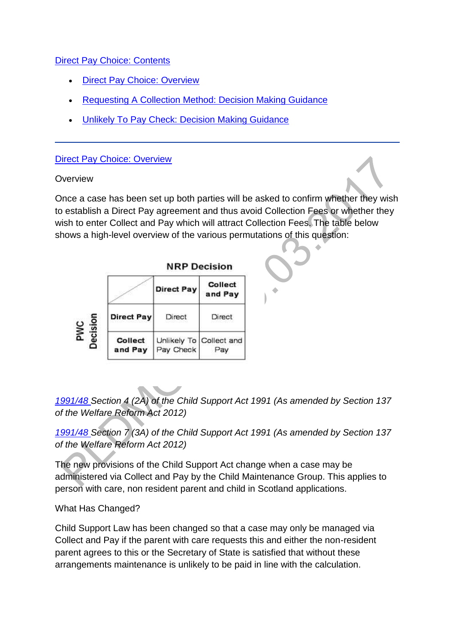[Direct Pay Choice: Contents](http://np-cmg-sharepoint.link2.gpn.gov.uk/sites/policy-law-and-decision-making-guidance/Pages/Direct-Pay.aspx)

- [Direct Pay Choice: Overview](http://np-cmg-sharepoint.link2.gpn.gov.uk/sites/policy-law-and-decision-making-guidance/Pages/Direct-Pay.aspx#Direct%20Pay%20Choice%3a%20Overview)
- [Requesting A Collection Method: Decision Making Guidance](http://np-cmg-sharepoint.link2.gpn.gov.uk/sites/policy-law-and-decision-making-guidance/Pages/Direct-Pay.aspx#Requesting%20A%20Collection%20Method%3a%20Decision%20Making%20Guidance)
- [Unlikely To Pay Check: Decision Making Guidance](http://np-cmg-sharepoint.link2.gpn.gov.uk/sites/policy-law-and-decision-making-guidance/Pages/Direct-Pay.aspx#Unlikely%20To%20Pay%20Check%3a%20Decision%20Making%20Guidance)

#### [Direct Pay Choice: Overview](http://np-cmg-sharepoint.link2.gpn.gov.uk/sites/policy-law-and-decision-making-guidance/Pages/Direct-Pay.aspx)

#### **Overview**

Once a case has been set up both parties will be asked to confirm whether they wish to establish a Direct Pay agreement and thus avoid Collection Fees or whether they wish to enter Collect and Pay which will attract Collection Fees. The table below shows a high-level overview of the various permutations of this question:

|                 |                           | <b>NRP Decision</b> |                                |
|-----------------|---------------------------|---------------------|--------------------------------|
|                 |                           | <b>Direct Pay</b>   | <b>Collect</b><br>and Pay      |
| Decision<br>PWC | <b>Direct Pay</b>         | Direct              | Direct                         |
|                 | <b>Collect</b><br>and Pay | Pay Check           | Unlikely To Collect and<br>∍av |

*[1991/48 S](http://www.legislation.gov.uk/ukpga/1991/48)ection 4 (2A) of the Child Support Act 1991 (As amended by Section 137 of the Welfare Reform Act 2012)*

*[1991/48 S](http://www.legislation.gov.uk/ukpga/1991/48)ection 7 (3A) of the Child Support Act 1991 (As amended by Section 137 of the Welfare Reform Act 2012)*

The new provisions of the Child Support Act change when a case may be administered via Collect and Pay by the Child Maintenance Group. This applies to person with care, non resident parent and child in Scotland applications.

### What Has Changed?

Child Support Law has been changed so that a case may only be managed via Collect and Pay if the parent with care requests this and either the non-resident parent agrees to this or the Secretary of State is satisfied that without these arrangements maintenance is unlikely to be paid in line with the calculation.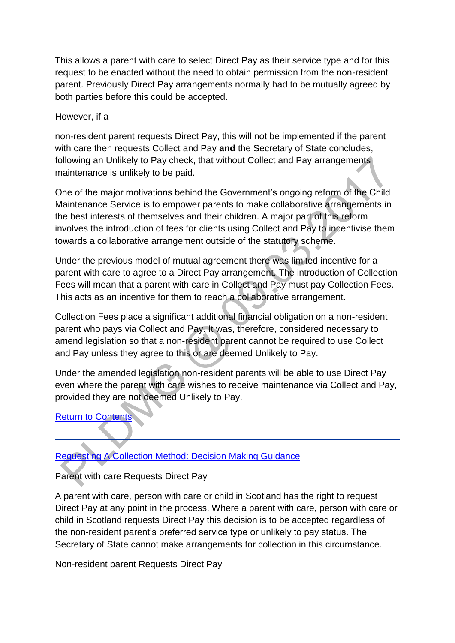This allows a parent with care to select Direct Pay as their service type and for this request to be enacted without the need to obtain permission from the non-resident parent. Previously Direct Pay arrangements normally had to be mutually agreed by both parties before this could be accepted.

#### However, if a

non-resident parent requests Direct Pay, this will not be implemented if the parent with care then requests Collect and Pay **and** the Secretary of State concludes, following an Unlikely to Pay check, that without Collect and Pay arrangements maintenance is unlikely to be paid.

One of the major motivations behind the Government's ongoing reform of the Child Maintenance Service is to empower parents to make collaborative arrangements in the best interests of themselves and their children. A major part of this reform involves the introduction of fees for clients using Collect and Pay to incentivise them towards a collaborative arrangement outside of the statutory scheme.

Under the previous model of mutual agreement there was limited incentive for a parent with care to agree to a Direct Pay arrangement. The introduction of Collection Fees will mean that a parent with care in Collect and Pay must pay Collection Fees. This acts as an incentive for them to reach a collaborative arrangement.

Collection Fees place a significant additional financial obligation on a non-resident parent who pays via Collect and Pay. It was, therefore, considered necessary to amend legislation so that a non-resident parent cannot be required to use Collect and Pay unless they agree to this or are deemed Unlikely to Pay.

Under the amended legislation non-resident parents will be able to use Direct Pay even where the parent with care wishes to receive maintenance via Collect and Pay, provided they are not deemed Unlikely to Pay.

### [Return to Contents](http://np-cmg-sharepoint.link2.gpn.gov.uk/sites/policy-law-and-decision-making-guidance/Pages/Direct-Pay.aspx#Direct%20Pay%20Choice%3a%20Contents)

### [Requesting A Collection Method: Decision Making Guidance](http://np-cmg-sharepoint.link2.gpn.gov.uk/sites/policy-law-and-decision-making-guidance/Pages/Direct-Pay.aspx)

### Parent with care Requests Direct Pay

A parent with care, person with care or child in Scotland has the right to request Direct Pay at any point in the process. Where a parent with care, person with care or child in Scotland requests Direct Pay this decision is to be accepted regardless of the non-resident parent's preferred service type or unlikely to pay status. The Secretary of State cannot make arrangements for collection in this circumstance.

Non-resident parent Requests Direct Pay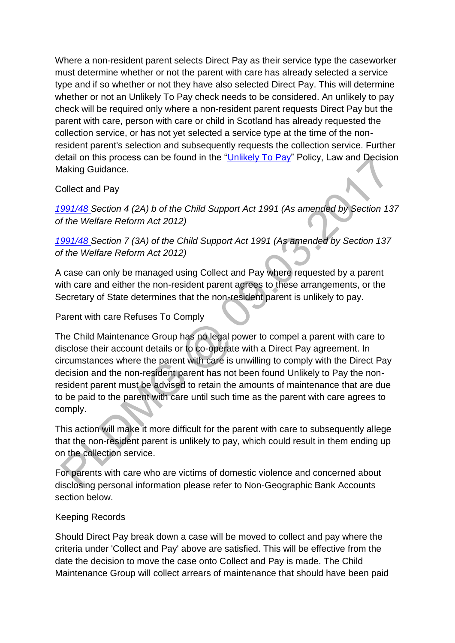Where a non-resident parent selects Direct Pay as their service type the caseworker must determine whether or not the parent with care has already selected a service type and if so whether or not they have also selected Direct Pay. This will determine whether or not an Unlikely To Pay check needs to be considered. An unlikely to pay check will be required only where a non-resident parent requests Direct Pay but the parent with care, person with care or child in Scotland has already requested the collection service, or has not yet selected a service type at the time of the nonresident parent's selection and subsequently requests the collection service. Further detail on this process can be found in the ["Unlikely To Pay"](http://np-cmg-sharepoint.link2.gpn.gov.uk/sites/policy-law-and-decision-making-guidance/Pages/Unlikely-to-Pay.aspx) Policy, Law and Decision Making Guidance.

### Collect and Pay

*[1991/48 S](http://www.legislation.gov.uk/ukpga/1991/48)ection 4 (2A) b of the Child Support Act 1991 (As amended by Section 137 of the Welfare Reform Act 2012)*

*[1991/48 S](http://www.legislation.gov.uk/ukpga/1991/48)ection 7 (3A) of the Child Support Act 1991 (As amended by Section 137 of the Welfare Reform Act 2012)*

A case can only be managed using Collect and Pay where requested by a parent with care and either the non-resident parent agrees to these arrangements, or the Secretary of State determines that the non-resident parent is unlikely to pay.

#### Parent with care Refuses To Comply

The Child Maintenance Group has no legal power to compel a parent with care to disclose their account details or to co-operate with a Direct Pay agreement. In circumstances where the parent with care is unwilling to comply with the Direct Pay decision and the non-resident parent has not been found Unlikely to Pay the nonresident parent must be advised to retain the amounts of maintenance that are due to be paid to the parent with care until such time as the parent with care agrees to comply.

This action will make it more difficult for the parent with care to subsequently allege that the non-resident parent is unlikely to pay, which could result in them ending up on the collection service.

For parents with care who are victims of domestic violence and concerned about disclosing personal information please refer to Non-Geographic Bank Accounts section below.

### Keeping Records

Should Direct Pay break down a case will be moved to collect and pay where the criteria under 'Collect and Pay' above are satisfied. This will be effective from the date the decision to move the case onto Collect and Pay is made. The Child Maintenance Group will collect arrears of maintenance that should have been paid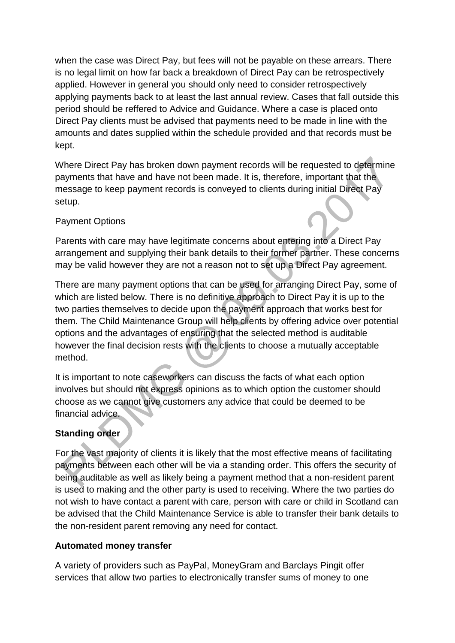when the case was Direct Pay, but fees will not be payable on these arrears. There is no legal limit on how far back a breakdown of Direct Pay can be retrospectively applied. However in general you should only need to consider retrospectively applying payments back to at least the last annual review. Cases that fall outside this period should be reffered to Advice and Guidance. Where a case is placed onto Direct Pay clients must be advised that payments need to be made in line with the amounts and dates supplied within the schedule provided and that records must be kept.

Where Direct Pay has broken down payment records will be requested to determine payments that have and have not been made. It is, therefore, important that the message to keep payment records is conveyed to clients during initial Direct Pay setup.

## Payment Options

Parents with care may have legitimate concerns about entering into a Direct Pay arrangement and supplying their bank details to their former partner. These concerns may be valid however they are not a reason not to set up a Direct Pay agreement.

There are many payment options that can be used for arranging Direct Pay, some of which are listed below. There is no definitive approach to Direct Pay it is up to the two parties themselves to decide upon the payment approach that works best for them. The Child Maintenance Group will help clients by offering advice over potential options and the advantages of ensuring that the selected method is auditable however the final decision rests with the clients to choose a mutually acceptable method.

It is important to note caseworkers can discuss the facts of what each option involves but should not express opinions as to which option the customer should choose as we cannot give customers any advice that could be deemed to be financial advice.

### **Standing order**

For the vast majority of clients it is likely that the most effective means of facilitating payments between each other will be via a standing order. This offers the security of being auditable as well as likely being a payment method that a non-resident parent is used to making and the other party is used to receiving. Where the two parties do not wish to have contact a parent with care, person with care or child in Scotland can be advised that the Child Maintenance Service is able to transfer their bank details to the non-resident parent removing any need for contact.

### **Automated money transfer**

A variety of providers such as PayPal, MoneyGram and Barclays Pingit offer services that allow two parties to electronically transfer sums of money to one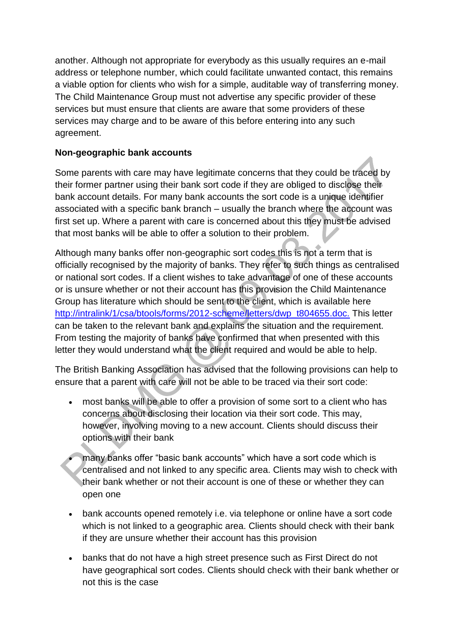another. Although not appropriate for everybody as this usually requires an e-mail address or telephone number, which could facilitate unwanted contact, this remains a viable option for clients who wish for a simple, auditable way of transferring money. The Child Maintenance Group must not advertise any specific provider of these services but must ensure that clients are aware that some providers of these services may charge and to be aware of this before entering into any such agreement.

### **Non-geographic bank accounts**

Some parents with care may have legitimate concerns that they could be traced by their former partner using their bank sort code if they are obliged to disclose their bank account details. For many bank accounts the sort code is a unique identifier associated with a specific bank branch – usually the branch where the account was first set up. Where a parent with care is concerned about this they must be advised that most banks will be able to offer a solution to their problem.

Although many banks offer non-geographic sort codes this is not a term that is officially recognised by the majority of banks. They refer to such things as centralised or national sort codes. If a client wishes to take advantage of one of these accounts or is unsure whether or not their account has this provision the Child Maintenance Group has literature which should be sent to the client, which is available here [http://intralink/1/csa/btools/forms/2012-scheme/letters/dwp\\_t804655.doc.](http://intralink/1/csa/btools/forms/2012-scheme/letters/dwp_t804655.doc) This letter can be taken to the relevant bank and explains the situation and the requirement. From testing the majority of banks have confirmed that when presented with this letter they would understand what the client required and would be able to help.

The British Banking Association has advised that the following provisions can help to ensure that a parent with care will not be able to be traced via their sort code:

- most banks will be able to offer a provision of some sort to a client who has concerns about disclosing their location via their sort code. This may, however, involving moving to a new account. Clients should discuss their options with their bank
- many banks offer "basic bank accounts" which have a sort code which is centralised and not linked to any specific area. Clients may wish to check with their bank whether or not their account is one of these or whether they can open one
- bank accounts opened remotely i.e. via telephone or online have a sort code which is not linked to a geographic area. Clients should check with their bank if they are unsure whether their account has this provision
- banks that do not have a high street presence such as First Direct do not have geographical sort codes. Clients should check with their bank whether or not this is the case